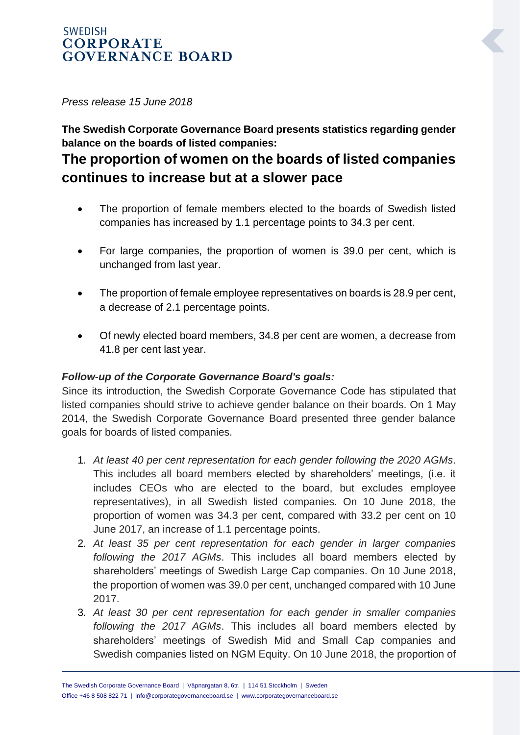# **SWEDISH CORPORATE GOVERNANCE BOARD**

*Press release 15 June 2018*

**The Swedish Corporate Governance Board presents statistics regarding gender balance on the boards of listed companies:** 

# **The proportion of women on the boards of listed companies continues to increase but at a slower pace**

- The proportion of female members elected to the boards of Swedish listed companies has increased by 1.1 percentage points to 34.3 per cent.
- For large companies, the proportion of women is 39.0 per cent, which is unchanged from last year.
- The proportion of female employee representatives on boards is 28.9 per cent, a decrease of 2.1 percentage points.
- Of newly elected board members, 34.8 per cent are women, a decrease from 41.8 per cent last year.

## *Follow-up of the Corporate Governance Board's goals:*

Since its introduction, the Swedish Corporate Governance Code has stipulated that listed companies should strive to achieve gender balance on their boards. On 1 May 2014, the Swedish Corporate Governance Board presented three gender balance goals for boards of listed companies.

- 1. *At least 40 per cent representation for each gender following the 2020 AGMs*. This includes all board members elected by shareholders' meetings, (i.e. it includes CEOs who are elected to the board, but excludes employee representatives), in all Swedish listed companies. On 10 June 2018, the proportion of women was 34.3 per cent, compared with 33.2 per cent on 10 June 2017, an increase of 1.1 percentage points.
- 2. *At least 35 per cent representation for each gender in larger companies following the 2017 AGMs*. This includes all board members elected by shareholders' meetings of Swedish Large Cap companies. On 10 June 2018, the proportion of women was 39.0 per cent, unchanged compared with 10 June 2017.
- 3. *At least 30 per cent representation for each gender in smaller companies following the 2017 AGMs*. This includes all board members elected by shareholders' meetings of Swedish Mid and Small Cap companies and Swedish companies listed on NGM Equity. On 10 June 2018, the proportion of